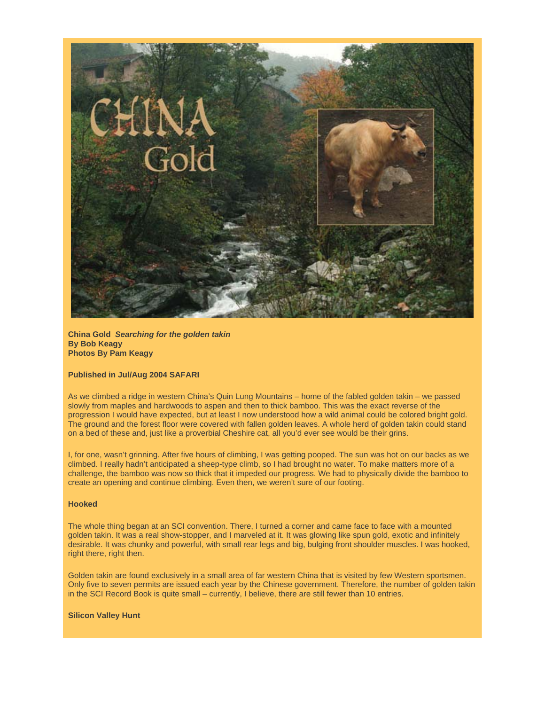

**China Gold** *Searching for the golden takin* **By Bob Keagy Photos By Pam Keagy**

### **Published in Jul/Aug 2004 SAFARI**

As we climbed a ridge in western China's Quin Lung Mountains – home of the fabled golden takin – we passed slowly from maples and hardwoods to aspen and then to thick bamboo. This was the exact reverse of the progression I would have expected, but at least I now understood how a wild animal could be colored bright gold. The ground and the forest floor were covered with fallen golden leaves. A whole herd of golden takin could stand on a bed of these and, just like a proverbial Cheshire cat, all you'd ever see would be their grins.

I, for one, wasn't grinning. After five hours of climbing, I was getting pooped. The sun was hot on our backs as we climbed. I really hadn't anticipated a sheep-type climb, so I had brought no water. To make matters more of a challenge, the bamboo was now so thick that it impeded our progress. We had to physically divide the bamboo to create an opening and continue climbing. Even then, we weren't sure of our footing.

# **Hooked**

The whole thing began at an SCI convention. There, I turned a corner and came face to face with a mounted golden takin. It was a real show-stopper, and I marveled at it. It was glowing like spun gold, exotic and infinitely desirable. It was chunky and powerful, with small rear legs and big, bulging front shoulder muscles. I was hooked, right there, right then.

Golden takin are found exclusively in a small area of far western China that is visited by few Western sportsmen. Only five to seven permits are issued each year by the Chinese government. Therefore, the number of golden takin in the SCI Record Book is quite small – currently, I believe, there are still fewer than 10 entries.

#### **Silicon Valley Hunt**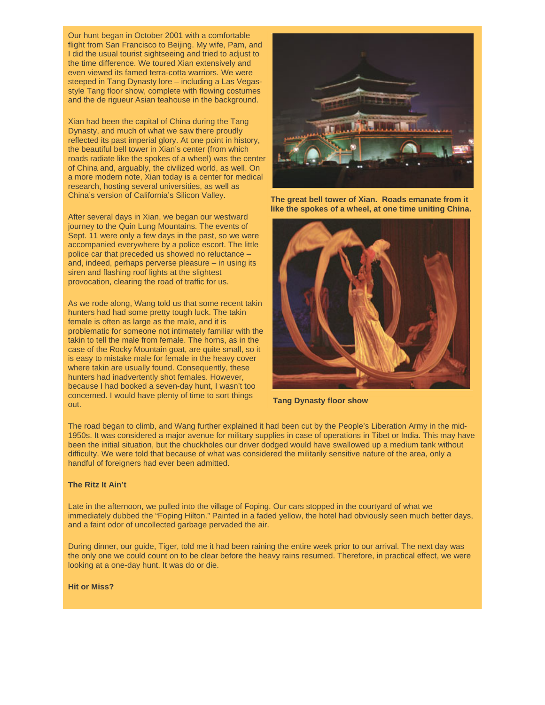Our hunt began in October 2001 with a comfortable flight from San Francisco to Beijing. My wife, Pam, and I did the usual tourist sightseeing and tried to adjust to the time difference. We toured Xian extensively and even viewed its famed terra-cotta warriors. We were steeped in Tang Dynasty lore – including a Las Vegasstyle Tang floor show, complete with flowing costumes and the de rigueur Asian teahouse in the background.

Xian had been the capital of China during the Tang Dynasty, and much of what we saw there proudly reflected its past imperial glory. At one point in history, the beautiful bell tower in Xian's center (from which roads radiate like the spokes of a wheel) was the center of China and, arguably, the civilized world, as well. On a more modern note, Xian today is a center for medical research, hosting several universities, as well as China's version of California's Silicon Valley.

After several days in Xian, we began our westward journey to the Quin Lung Mountains. The events of Sept. 11 were only a few days in the past, so we were accompanied everywhere by a police escort. The little police car that preceded us showed no reluctance – and, indeed, perhaps perverse pleasure – in using its siren and flashing roof lights at the slightest provocation, clearing the road of traffic for us.

As we rode along, Wang told us that some recent takin hunters had had some pretty tough luck. The takin female is often as large as the male, and it is problematic for someone not intimately familiar with the takin to tell the male from female. The horns, as in the case of the Rocky Mountain goat, are quite small, so it is easy to mistake male for female in the heavy cover where takin are usually found. Consequently, these hunters had inadvertently shot females. However, because I had booked a seven-day hunt, I wasn't too concerned. I would have plenty of time to sort things out.



**The great bell tower of Xian. Roads emanate from it like the spokes of a wheel, at one time uniting China.**



**Tang Dynasty floor show**

The road began to climb, and Wang further explained it had been cut by the People's Liberation Army in the mid-1950s. It was considered a major avenue for military supplies in case of operations in Tibet or India. This may have been the initial situation, but the chuckholes our driver dodged would have swallowed up a medium tank without difficulty. We were told that because of what was considered the militarily sensitive nature of the area, only a handful of foreigners had ever been admitted.

# **The Ritz It Ain't**

Late in the afternoon, we pulled into the village of Foping. Our cars stopped in the courtyard of what we immediately dubbed the "Foping Hilton." Painted in a faded yellow, the hotel had obviously seen much better days, and a faint odor of uncollected garbage pervaded the air.

During dinner, our guide, Tiger, told me it had been raining the entire week prior to our arrival. The next day was the only one we could count on to be clear before the heavy rains resumed. Therefore, in practical effect, we were looking at a one-day hunt. It was do or die.

## **Hit or Miss?**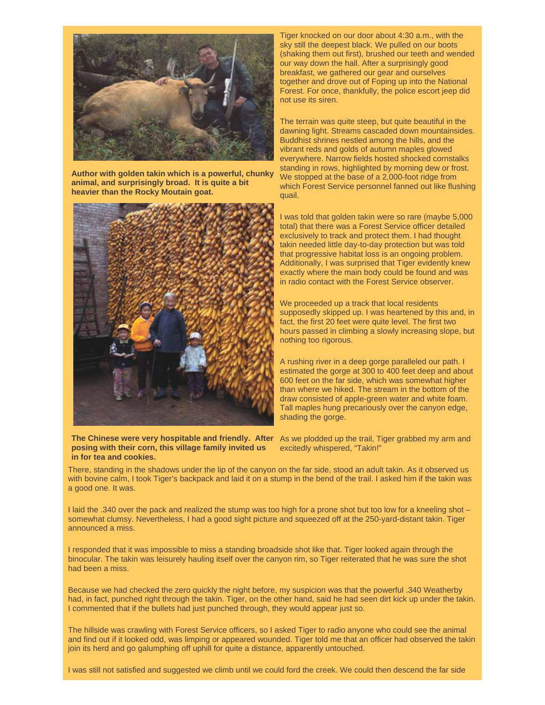![](_page_2_Picture_0.jpeg)

**Author with golden takin which is a powerful, chunky animal, and surprisingly broad. It is quite a bit heavier than the Rocky Moutain goat.**

![](_page_2_Picture_2.jpeg)

The Chinese were very hospitable and friendly. After As we plodded up the trail, Tiger grabbed my arm and **posing with their corn, this village family invited us in for tea and cookies.**

Tiger knocked on our door about 4:30 a.m., with the sky still the deepest black. We pulled on our boots (shaking them out first), brushed our teeth and wended our way down the hall. After a surprisingly good breakfast, we gathered our gear and ourselves together and drove out of Foping up into the National Forest. For once, thankfully, the police escort jeep did not use its siren.

The terrain was quite steep, but quite beautiful in the dawning light. Streams cascaded down mountainsides. Buddhist shrines nestled among the hills, and the vibrant reds and golds of autumn maples glowed everywhere. Narrow fields hosted shocked cornstalks standing in rows, highlighted by morning dew or frost. We stopped at the base of a 2,000-foot ridge from which Forest Service personnel fanned out like flushing quail.

I was told that golden takin were so rare (maybe 5,000 total) that there was a Forest Service officer detailed exclusively to track and protect them. I had thought takin needed little day-to-day protection but was told that progressive habitat loss is an ongoing problem. Additionally, I was surprised that Tiger evidently knew exactly where the main body could be found and was in radio contact with the Forest Service observer.

We proceeded up a track that local residents supposedly skipped up. I was heartened by this and, in fact, the first 20 feet were quite level. The first two hours passed in climbing a slowly increasing slope, but nothing too rigorous.

A rushing river in a deep gorge paralleled our path. I estimated the gorge at 300 to 400 feet deep and about 600 feet on the far side, which was somewhat higher than where we hiked. The stream in the bottom of the draw consisted of apple-green water and white foam. Tall maples hung precariously over the canyon edge, shading the gorge.

excitedly whispered, "Takin!"

There, standing in the shadows under the lip of the canyon on the far side, stood an adult takin. As it observed us with bovine calm, I took Tiger's backpack and laid it on a stump in the bend of the trail. I asked him if the takin was a good one. It was.

I laid the .340 over the pack and realized the stump was too high for a prone shot but too low for a kneeling shot – somewhat clumsy. Nevertheless, I had a good sight picture and squeezed off at the 250-yard-distant takin. Tiger announced a miss.

I responded that it was impossible to miss a standing broadside shot like that. Tiger looked again through the binocular. The takin was leisurely hauling itself over the canyon rim, so Tiger reiterated that he was sure the shot had been a miss.

Because we had checked the zero quickly the night before, my suspicion was that the powerful .340 Weatherby had, in fact, punched right through the takin. Tiger, on the other hand, said he had seen dirt kick up under the takin. I commented that if the bullets had just punched through, they would appear just so.

The hillside was crawling with Forest Service officers, so I asked Tiger to radio anyone who could see the animal and find out if it looked odd, was limping or appeared wounded. Tiger told me that an officer had observed the takin join its herd and go galumphing off uphill for quite a distance, apparently untouched.

I was still not satisfied and suggested we climb until we could ford the creek. We could then descend the far side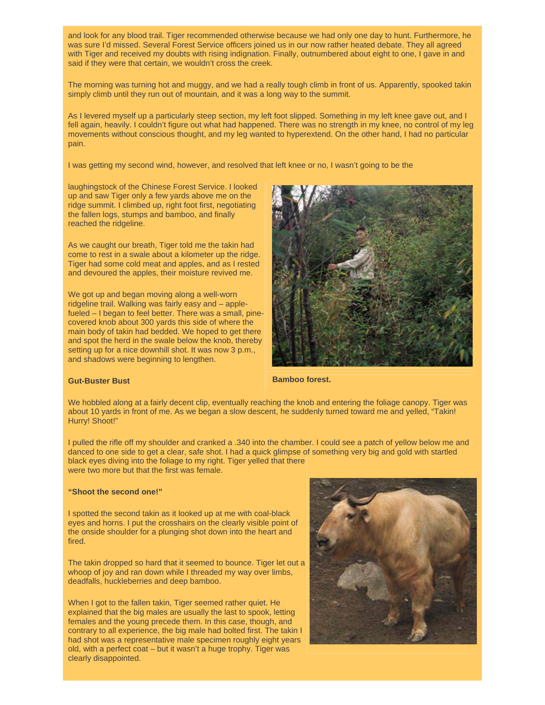and look for any blood trail. Tiger recommended otherwise because we had only one day to hunt. Furthermore, he was sure I'd missed. Several Forest Service officers joined us in our now rather heated debate. They all agreed with Tiger and received my doubts with rising indignation. Finally, outnumbered about eight to one, I gave in and said if they were that certain, we wouldn't cross the creek.

The morning was turning hot and muggy, and we had a really tough climb in front of us. Apparently, spooked takin simply climb until they run out of mountain, and it was a long way to the summit.

As I levered myself up a particularly steep section, my left foot slipped. Something in my left knee gave out, and I fell again, heavily. I couldn't figure out what had happened. There was no strength in my knee, no control of my leg movements without conscious thought, and my leg wanted to hyperextend. On the other hand, I had no particular pain.

I was getting my second wind, however, and resolved that left knee or no, I wasn't going to be the

laughingstock of the Chinese Forest Service. I looked up and saw Tiger only a few yards above me on the ridge summit. I climbed up, right foot first, negotiating the fallen logs, stumps and bamboo, and finally reached the ridgeline.

As we caught our breath, Tiger told me the takin had come to rest in a swale about a kilometer up the ridge. Tiger had some cold meat and apples, and as I rested and devoured the apples, their moisture revived me.

We got up and began moving along a well-worn ridgeline trail. Walking was fairly easy and – applefueled – I began to feel better. There was a small, pinecovered knob about 300 yards this side of where the main body of takin had bedded. We hoped to get there and spot the herd in the swale below the knob, thereby setting up for a nice downhill shot. It was now 3 p.m., and shadows were beginning to lengthen.

![](_page_3_Picture_7.jpeg)

### **Gut-Buster Bust**

 **Bamboo forest.**

We hobbled along at a fairly decent clip, eventually reaching the knob and entering the foliage canopy. Tiger was about 10 yards in front of me. As we began a slow descent, he suddenly turned toward me and yelled, "Takin! Hurry! Shoot!"

I pulled the rifle off my shoulder and cranked a .340 into the chamber. I could see a patch of yellow below me and danced to one side to get a clear, safe shot. I had a quick glimpse of something very big and gold with startled black eyes diving into the foliage to my right. Tiger yelled that there were two more but that the first was female.

#### **"Shoot the second one!"**

I spotted the second takin as it looked up at me with coal-black eyes and horns. I put the crosshairs on the clearly visible point of the onside shoulder for a plunging shot down into the heart and fired.

The takin dropped so hard that it seemed to bounce. Tiger let out a whoop of joy and ran down while I threaded my way over limbs, deadfalls, huckleberries and deep bamboo.

When I got to the fallen takin, Tiger seemed rather quiet. He explained that the big males are usually the last to spook, letting females and the young precede them. In this case, though, and contrary to all experience, the big male had bolted first. The takin I had shot was a representative male specimen roughly eight years old, with a perfect coat – but it wasn't a huge trophy. Tiger was clearly disappointed.

![](_page_3_Picture_16.jpeg)